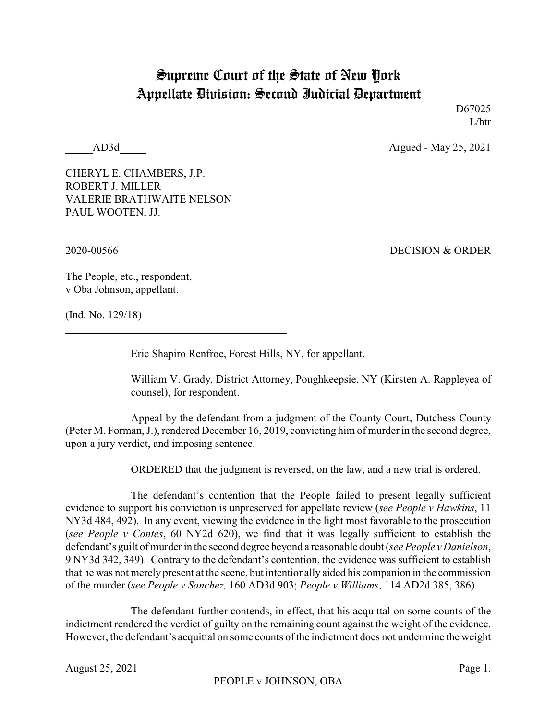## Supreme Court of the State of New York Appellate Division: Second Judicial Department

D67025 L/htr

AD3d Argued - May 25, 2021

CHERYL E. CHAMBERS, J.P. ROBERT J. MILLER VALERIE BRATHWAITE NELSON PAUL WOOTEN, JJ.

2020-00566 DECISION & ORDER

The People, etc., respondent, v Oba Johnson, appellant.

(Ind. No. 129/18)

Eric Shapiro Renfroe, Forest Hills, NY, for appellant.

William V. Grady, District Attorney, Poughkeepsie, NY (Kirsten A. Rappleyea of counsel), for respondent.

Appeal by the defendant from a judgment of the County Court, Dutchess County (Peter M. Forman, J.), rendered December 16, 2019, convicting him of murder in the second degree, upon a jury verdict, and imposing sentence.

ORDERED that the judgment is reversed, on the law, and a new trial is ordered.

The defendant's contention that the People failed to present legally sufficient evidence to support his conviction is unpreserved for appellate review (*see People v Hawkins*, 11 NY3d 484, 492). In any event, viewing the evidence in the light most favorable to the prosecution (*see People v Contes*, 60 NY2d 620), we find that it was legally sufficient to establish the defendant's guilt of murder in the second degree beyond a reasonable doubt (*seePeople v Danielson*, 9 NY3d 342, 349). Contrary to the defendant's contention, the evidence was sufficient to establish that he was not merely present at the scene, but intentionally aided his companion in the commission of the murder (*see People v Sanchez,* 160 AD3d 903; *People v Williams*, 114 AD2d 385, 386).

The defendant further contends, in effect, that his acquittal on some counts of the indictment rendered the verdict of guilty on the remaining count against the weight of the evidence. However, the defendant's acquittal on some counts of the indictment does not undermine the weight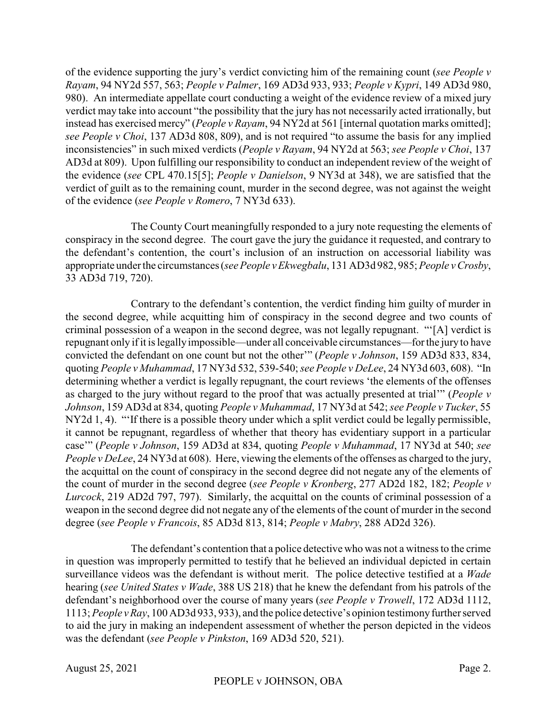of the evidence supporting the jury's verdict convicting him of the remaining count (*see People v Rayam*, 94 NY2d 557, 563; *People v Palmer*, 169 AD3d 933, 933; *People v Kypri*, 149 AD3d 980, 980). An intermediate appellate court conducting a weight of the evidence review of a mixed jury verdict may take into account "the possibility that the jury has not necessarily acted irrationally, but instead has exercised mercy" (*People v Rayam*, 94 NY2d at 561 [internal quotation marks omitted]; *see People v Choi*, 137 AD3d 808, 809), and is not required "to assume the basis for any implied inconsistencies" in such mixed verdicts (*People v Rayam*, 94 NY2d at 563; *see People v Choi*, 137 AD3d at 809). Upon fulfilling our responsibility to conduct an independent review of the weight of the evidence (*see* CPL 470.15[5]; *People v Danielson*, 9 NY3d at 348), we are satisfied that the verdict of guilt as to the remaining count, murder in the second degree, was not against the weight of the evidence (*see People v Romero*, 7 NY3d 633).

The County Court meaningfully responded to a jury note requesting the elements of conspiracy in the second degree. The court gave the jury the guidance it requested, and contrary to the defendant's contention, the court's inclusion of an instruction on accessorial liability was appropriate under the circumstances (*seePeople vEkwegbalu*, 131 AD3d 982, 985; *People v Crosby*, 33 AD3d 719, 720).

Contrary to the defendant's contention, the verdict finding him guilty of murder in the second degree, while acquitting him of conspiracy in the second degree and two counts of criminal possession of a weapon in the second degree, was not legally repugnant. "'[A] verdict is repugnant only if it is legallyimpossible—under all conceivable circumstances—for the jury to have convicted the defendant on one count but not the other'" (*People v Johnson*, 159 AD3d 833, 834, quoting *People v Muhammad*, 17 NY3d 532, 539-540; *see People v DeLee*, 24 NY3d 603, 608). "In determining whether a verdict is legally repugnant, the court reviews 'the elements of the offenses as charged to the jury without regard to the proof that was actually presented at trial'" (*People v Johnson*, 159 AD3d at 834, quoting *People v Muhammad*, 17 NY3d at 542; *see People v Tucker*, 55 NY2d 1, 4). "'If there is a possible theory under which a split verdict could be legally permissible, it cannot be repugnant, regardless of whether that theory has evidentiary support in a particular case'" (*People v Johnson*, 159 AD3d at 834, quoting *People v Muhammad*, 17 NY3d at 540; *see People v DeLee*, 24 NY3d at 608). Here, viewing the elements of the offenses as charged to the jury, the acquittal on the count of conspiracy in the second degree did not negate any of the elements of the count of murder in the second degree (*see People v Kronberg*, 277 AD2d 182, 182; *People v Lurcock*, 219 AD2d 797, 797). Similarly, the acquittal on the counts of criminal possession of a weapon in the second degree did not negate any of the elements of the count of murder in the second degree (*see People v Francois*, 85 AD3d 813, 814; *People v Mabry*, 288 AD2d 326).

The defendant's contention that a police detective who was not a witness to the crime in question was improperly permitted to testify that he believed an individual depicted in certain surveillance videos was the defendant is without merit. The police detective testified at a *Wade* hearing (*see United States v Wade*, 388 US 218) that he knew the defendant from his patrols of the defendant's neighborhood over the course of many years (*see People v Trowell*, 172 AD3d 1112, 1113; *People vRay*, 100 AD3d 933, 933), and the police detective's opinion testimonyfurther served to aid the jury in making an independent assessment of whether the person depicted in the videos was the defendant (*see People v Pinkston*, 169 AD3d 520, 521).